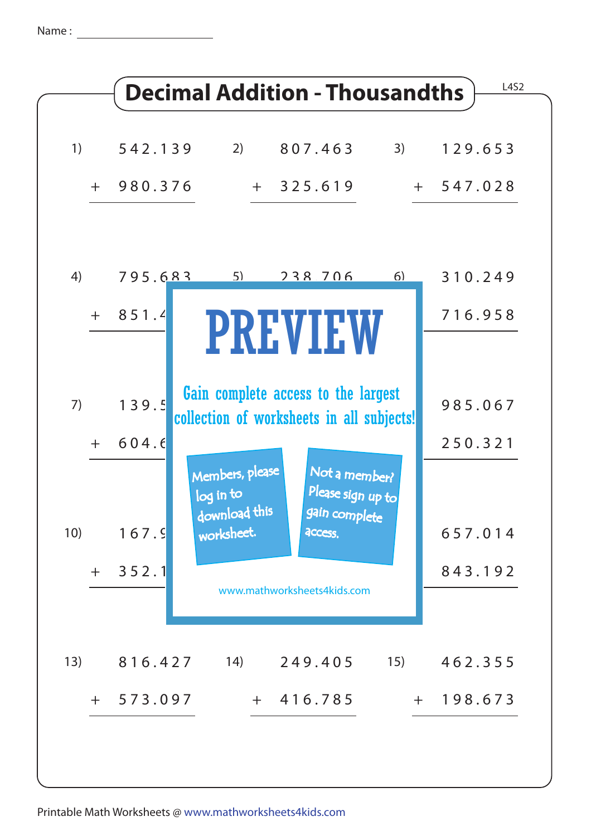Name :